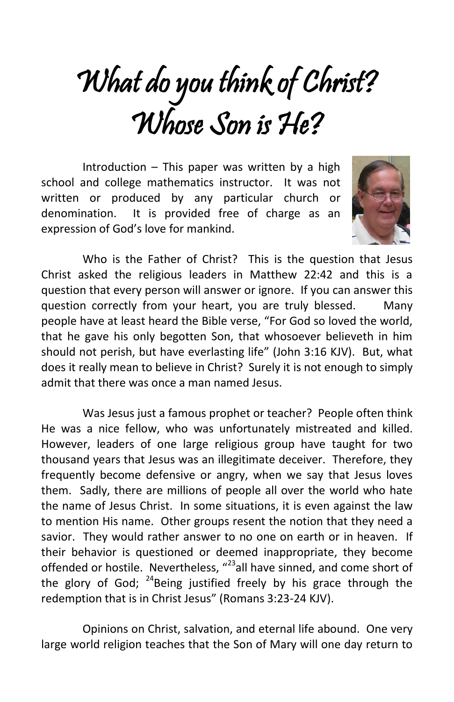## What do you think of Christ? Whose Son is He?

Introduction  $-$  This paper was written by a high school and college mathematics instructor. It was not written or produced by any particular church or denomination. It is provided free of charge as an expression of God's love for mankind.



Who is the Father of Christ? This is the question that Jesus Christ asked the religious leaders in Matthew 22:42 and this is a question that every person will answer or ignore. If you can answer this question correctly from your heart, you are truly blessed. Many people have at least heard the Bible verse, "For God so loved the world, that he gave his only begotten Son, that whosoever believeth in him should not perish, but have everlasting life" (John 3:16 KJV). But, what does it really mean to believe in Christ? Surely it is not enough to simply admit that there was once a man named Jesus.

Was Jesus just a famous prophet or teacher? People often think He was a nice fellow, who was unfortunately mistreated and killed. However, leaders of one large religious group have taught for two thousand years that Jesus was an illegitimate deceiver. Therefore, they frequently become defensive or angry, when we say that Jesus loves them. Sadly, there are millions of people all over the world who hate the name of Jesus Christ. In some situations, it is even against the law to mention His name. Other groups resent the notion that they need a savior. They would rather answer to no one on earth or in heaven. If their behavior is questioned or deemed inappropriate, they become offended or hostile. Nevertheless, "<sup>23</sup>all have sinned, and come short of the glory of God; <sup>24</sup>Being justified freely by his grace through the redemption that is in Christ Jesus" (Romans 3:23-24 KJV).

Opinions on Christ, salvation, and eternal life abound. One very large world religion teaches that the Son of Mary will one day return to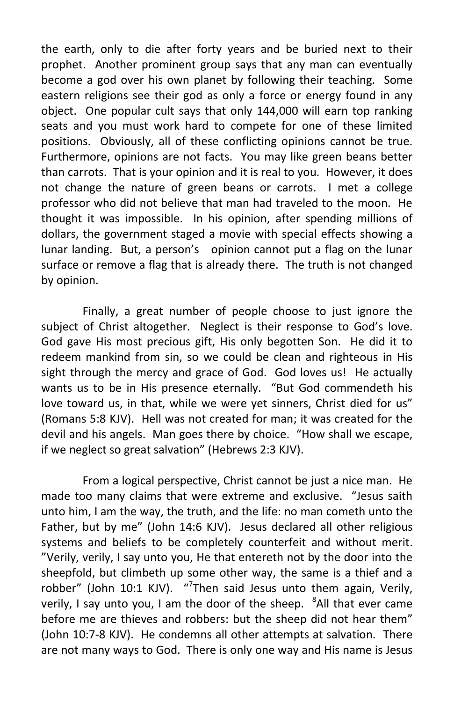the earth, only to die after forty years and be buried next to their prophet. Another prominent group says that any man can eventually become a god over his own planet by following their teaching. Some eastern religions see their god as only a force or energy found in any object. One popular cult says that only 144,000 will earn top ranking seats and you must work hard to compete for one of these limited positions. Obviously, all of these conflicting opinions cannot be true. Furthermore, opinions are not facts. You may like green beans better than carrots. That is your opinion and it is real to you. However, it does not change the nature of green beans or carrots. I met a college professor who did not believe that man had traveled to the moon. He thought it was impossible. In his opinion, after spending millions of dollars, the government staged a movie with special effects showing a lunar landing. But, a person's opinion cannot put a flag on the lunar surface or remove a flag that is already there. The truth is not changed by opinion.

Finally, a great number of people choose to just ignore the subject of Christ altogether. Neglect is their response to God's love. God gave His most precious gift, His only begotten Son. He did it to redeem mankind from sin, so we could be clean and righteous in His sight through the mercy and grace of God. God loves us! He actually wants us to be in His presence eternally. "But God commendeth his love toward us, in that, while we were yet sinners, Christ died for us" (Romans 5:8 KJV). Hell was not created for man; it was created for the devil and his angels. Man goes there by choice. "How shall we escape, if we neglect so great salvation" (Hebrews 2:3 KJV).

From a logical perspective, Christ cannot be just a nice man. He made too many claims that were extreme and exclusive. "Jesus saith unto him, I am the way, the truth, and the life: no man cometh unto the Father, but by me" (John 14:6 KJV). Jesus declared all other religious systems and beliefs to be completely counterfeit and without merit. "Verily, verily, I say unto you, He that entereth not by the door into the sheepfold, but climbeth up some other way, the same is a thief and a robber" (John 10:1 KJV). "<sup>7</sup>Then said Jesus unto them again, Verily, verily, I say unto you, I am the door of the sheep. <sup>8</sup>All that ever came before me are thieves and robbers: but the sheep did not hear them" (John 10:7-8 KJV). He condemns all other attempts at salvation. There are not many ways to God. There is only one way and His name is Jesus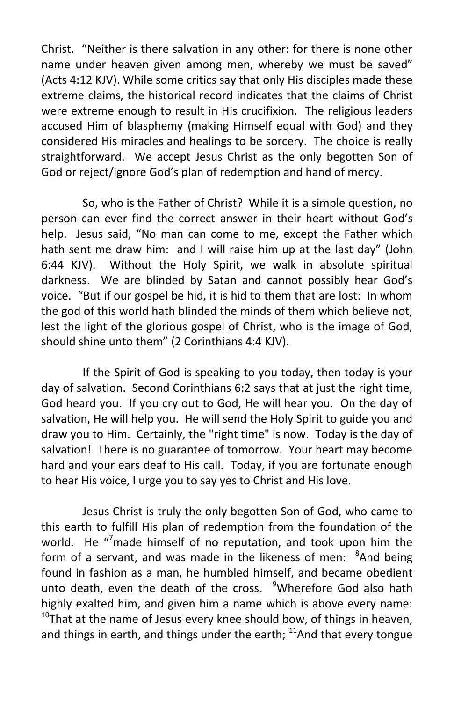Christ. "Neither is there salvation in any other: for there is none other name under heaven given among men, whereby we must be saved" (Acts 4:12 KJV). While some critics say that only His disciples made these extreme claims, the historical record indicates that the claims of Christ were extreme enough to result in His crucifixion. The religious leaders accused Him of blasphemy (making Himself equal with God) and they considered His miracles and healings to be sorcery. The choice is really straightforward. We accept Jesus Christ as the only begotten Son of God or reject/ignore God's plan of redemption and hand of mercy.

So, who is the Father of Christ? While it is a simple question, no person can ever find the correct answer in their heart without God's help. Jesus said, "No man can come to me, except the Father which hath sent me draw him: and I will raise him up at the last day" (John 6:44 KJV). Without the Holy Spirit, we walk in absolute spiritual darkness. We are blinded by Satan and cannot possibly hear God's voice. "But if our gospel be hid, it is hid to them that are lost: In whom the god of this world hath blinded the minds of them which believe not, lest the light of the glorious gospel of Christ, who is the image of God, should shine unto them" (2 Corinthians 4:4 KJV).

If the Spirit of God is speaking to you today, then today is your day of salvation. Second Corinthians 6:2 says that at just the right time, God heard you. If you cry out to God, He will hear you. On the day of salvation, He will help you. He will send the Holy Spirit to guide you and draw you to Him. Certainly, the "right time" is now. Today is the day of salvation! There is no guarantee of tomorrow. Your heart may become hard and your ears deaf to His call. Today, if you are fortunate enough to hear His voice, I urge you to say yes to Christ and His love.

Jesus Christ is truly the only begotten Son of God, who came to this earth to fulfill His plan of redemption from the foundation of the world. He "<sup>7</sup>made himself of no reputation, and took upon him the form of a servant, and was made in the likeness of men: <sup>8</sup>And being found in fashion as a man, he humbled himself, and became obedient unto death, even the death of the cross. <sup>9</sup>Wherefore God also hath highly exalted him, and given him a name which is above every name:  $10$ That at the name of Jesus every knee should bow, of things in heaven, and things in earth, and things under the earth;  $11$ And that every tongue